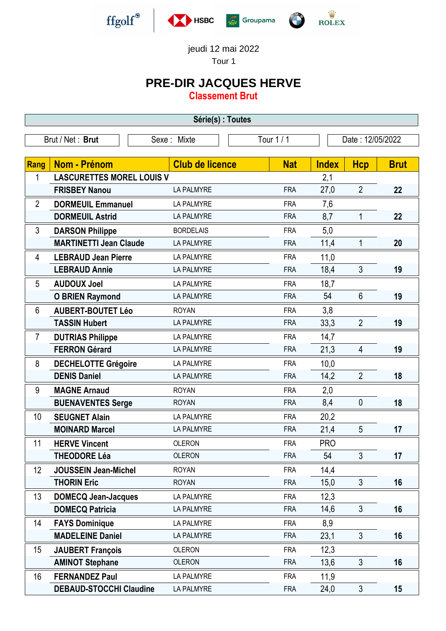



jeudi 12 mai 2022

Tour 1

## **PRE-DIR JACQUES HERVE**

**Classement Brut**

| Série(s) : Toutes                                                 |                                  |                        |            |              |                |             |  |
|-------------------------------------------------------------------|----------------------------------|------------------------|------------|--------------|----------------|-------------|--|
| Brut / Net: Brut<br>Tour 1 / 1<br>Date: 12/05/2022<br>Sexe: Mixte |                                  |                        |            |              |                |             |  |
|                                                                   |                                  |                        |            |              |                |             |  |
| Rang                                                              | <b>Nom - Prénom</b>              | <b>Club de licence</b> | <b>Nat</b> | <b>Index</b> | <b>Hcp</b>     | <b>Brut</b> |  |
| 1                                                                 | <b>LASCURETTES MOREL LOUIS V</b> |                        |            | 2,1          |                |             |  |
|                                                                   | <b>FRISBEY Nanou</b>             | <b>LA PALMYRE</b>      | <b>FRA</b> | 27,0         | $\overline{2}$ | 22          |  |
| $\overline{2}$                                                    | <b>DORMEUIL Emmanuel</b>         | <b>LA PALMYRE</b>      | <b>FRA</b> | 7,6          |                |             |  |
|                                                                   | <b>DORMEUIL Astrid</b>           | <b>LA PALMYRE</b>      | <b>FRA</b> | 8,7          | 1              | 22          |  |
| 3                                                                 | <b>DARSON Philippe</b>           | <b>BORDELAIS</b>       | <b>FRA</b> | 5,0          |                |             |  |
|                                                                   | <b>MARTINETTI Jean Claude</b>    | <b>LA PALMYRE</b>      | <b>FRA</b> | 11,4         | $\mathbf 1$    | 20          |  |
| $\overline{4}$                                                    | <b>LEBRAUD Jean Pierre</b>       | <b>LA PALMYRE</b>      | <b>FRA</b> | 11,0         |                |             |  |
|                                                                   | <b>LEBRAUD Annie</b>             | <b>LA PALMYRE</b>      | <b>FRA</b> | 18,4         | 3              | 19          |  |
| 5                                                                 | <b>AUDOUX Joel</b>               | LA PALMYRE             | <b>FRA</b> | 18,7         |                |             |  |
|                                                                   | <b>O BRIEN Raymond</b>           | <b>LA PALMYRE</b>      | <b>FRA</b> | 54           | $6\phantom{1}$ | 19          |  |
| 6                                                                 | <b>AUBERT-BOUTET Léo</b>         | <b>ROYAN</b>           | <b>FRA</b> | 3,8          |                |             |  |
|                                                                   | <b>TASSIN Hubert</b>             | <b>LA PALMYRE</b>      | <b>FRA</b> | 33,3         | $\overline{2}$ | 19          |  |
| $\overline{7}$                                                    | <b>DUTRIAS Philippe</b>          | LA PALMYRE             | <b>FRA</b> | 14,7         |                |             |  |
|                                                                   | <b>FERRON Gérard</b>             | LA PALMYRE             | <b>FRA</b> | 21,3         | 4              | 19          |  |
| 8                                                                 | <b>DECHELOTTE Grégoire</b>       | LA PALMYRE             | <b>FRA</b> | 10,0         |                |             |  |
|                                                                   | <b>DENIS Daniel</b>              | <b>LA PALMYRE</b>      | <b>FRA</b> | 14,2         | $\overline{2}$ | 18          |  |
| 9                                                                 | <b>MAGNE Arnaud</b>              | <b>ROYAN</b>           | <b>FRA</b> | 2,0          |                |             |  |
|                                                                   | <b>BUENAVENTES Serge</b>         | <b>ROYAN</b>           | <b>FRA</b> | 8,4          | 0              | 18          |  |
| 10                                                                | <b>SEUGNET Alain</b>             | LA PALMYRE             | <b>FRA</b> | 20,2         |                |             |  |
|                                                                   | <b>MOINARD Marcel</b>            | <b>LA PALMYRE</b>      | <b>FRA</b> | 21,4         | 5              | 17          |  |
| 11                                                                | <b>HERVE Vincent</b>             | <b>OLERON</b>          | <b>FRA</b> | <b>PRO</b>   |                |             |  |
|                                                                   | <b>THEODORE Léa</b>              | <b>OLERON</b>          | <b>FRA</b> | 54           | $\mathfrak{Z}$ | 17          |  |
| 12                                                                | <b>JOUSSEIN Jean-Michel</b>      | <b>ROYAN</b>           | <b>FRA</b> | 14,4         |                |             |  |
|                                                                   | <b>THORIN Eric</b>               | <b>ROYAN</b>           | <b>FRA</b> | 15,0         | $\mathfrak{S}$ | 16          |  |
| 13                                                                | <b>DOMECQ Jean-Jacques</b>       | LA PALMYRE             | <b>FRA</b> | 12,3         |                |             |  |
|                                                                   | <b>DOMECQ Patricia</b>           | LA PALMYRE             | <b>FRA</b> | 14,6         | 3              | 16          |  |
| 14                                                                | <b>FAYS Dominique</b>            | LA PALMYRE             | <b>FRA</b> | 8,9          |                |             |  |
|                                                                   | <b>MADELEINE Daniel</b>          | LA PALMYRE             | <b>FRA</b> | 23,1         | 3              | 16          |  |
| 15                                                                | <b>JAUBERT François</b>          | <b>OLERON</b>          | <b>FRA</b> | 12,3         |                |             |  |
|                                                                   | <b>AMINOT Stephane</b>           | <b>OLERON</b>          | <b>FRA</b> | 13,6         | 3              | 16          |  |
| 16                                                                | <b>FERNANDEZ Paul</b>            | LA PALMYRE             | <b>FRA</b> | 11,9         |                |             |  |
|                                                                   | <b>DEBAUD-STOCCHI Claudine</b>   | LA PALMYRE             | <b>FRA</b> | 24,0         | $\mathfrak{Z}$ | 15          |  |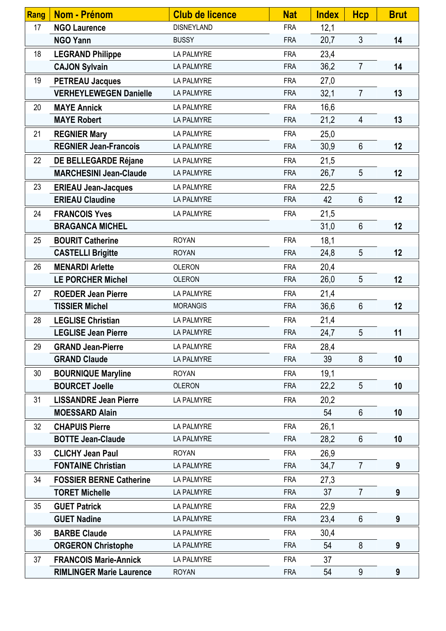| <b>Rang</b> | Nom - Prénom                    | <b>Club de licence</b> | <b>Nat</b> | <b>Index</b> | <b>Hcp</b>      | <b>Brut</b> |
|-------------|---------------------------------|------------------------|------------|--------------|-----------------|-------------|
| 17          | <b>NGO Laurence</b>             | <b>DISNEYLAND</b>      | <b>FRA</b> | 12,1         |                 |             |
|             | <b>NGO Yann</b>                 | <b>BUSSY</b>           | <b>FRA</b> | 20,7         | 3 <sup>1</sup>  | 14          |
| 18          | <b>LEGRAND Philippe</b>         | <b>LA PALMYRE</b>      | <b>FRA</b> | 23,4         |                 |             |
|             | <b>CAJON Sylvain</b>            | <b>LA PALMYRE</b>      | <b>FRA</b> | 36,2         | $\overline{7}$  | 14          |
| 19          | <b>PETREAU Jacques</b>          | LA PALMYRE             | <b>FRA</b> | 27,0         |                 |             |
|             | <b>VERHEYLEWEGEN Danielle</b>   | <b>LA PALMYRE</b>      | <b>FRA</b> | 32,1         | $\overline{7}$  | 13          |
| 20          | <b>MAYE Annick</b>              | LA PALMYRE             | <b>FRA</b> | 16,6         |                 |             |
|             | <b>MAYE Robert</b>              | <b>LA PALMYRE</b>      | <b>FRA</b> | 21,2         | $\overline{4}$  | 13          |
| 21          | <b>REGNIER Mary</b>             | <b>LA PALMYRE</b>      | <b>FRA</b> | 25,0         |                 |             |
|             | <b>REGNIER Jean-Francois</b>    | <b>LA PALMYRE</b>      | <b>FRA</b> | 30,9         | $6\phantom{1}$  | 12          |
| 22          | DE BELLEGARDE Réjane            | LA PALMYRE             | <b>FRA</b> | 21,5         |                 |             |
|             | <b>MARCHESINI Jean-Claude</b>   | <b>LA PALMYRE</b>      | <b>FRA</b> | 26,7         | 5               | 12          |
| 23          | <b>ERIEAU Jean-Jacques</b>      | <b>LA PALMYRE</b>      | <b>FRA</b> | 22,5         |                 |             |
|             | <b>ERIEAU Claudine</b>          | LA PALMYRE             | <b>FRA</b> | 42           | $6\phantom{1}$  | 12          |
| 24          | <b>FRANCOIS Yves</b>            | LA PALMYRE             | <b>FRA</b> | 21,5         |                 |             |
|             | <b>BRAGANCA MICHEL</b>          |                        |            | 31,0         | $6\phantom{1}$  | 12          |
| 25          | <b>BOURIT Catherine</b>         | <b>ROYAN</b>           | <b>FRA</b> | 18,1         |                 |             |
|             | <b>CASTELLI Brigitte</b>        | <b>ROYAN</b>           | <b>FRA</b> | 24,8         | 5               | 12          |
| 26          | <b>MENARDI Arlette</b>          | <b>OLERON</b>          | <b>FRA</b> | 20,4         |                 |             |
|             | <b>LE PORCHER Michel</b>        | <b>OLERON</b>          | <b>FRA</b> | 26,0         | 5               | 12          |
| 27          | <b>ROEDER Jean Pierre</b>       | LA PALMYRE             | <b>FRA</b> | 21,4         |                 |             |
|             | <b>TISSIER Michel</b>           | <b>MORANGIS</b>        | <b>FRA</b> | 36,6         | $6\phantom{.}6$ | 12          |
| 28          | <b>LEGLISE Christian</b>        | LA PALMYRE             | <b>FRA</b> | 21,4         |                 |             |
|             | <b>LEGLISE Jean Pierre</b>      | <b>LA PALMYRE</b>      | <b>FRA</b> | 24,7         | $5\phantom{.0}$ | 11          |
| 29          | <b>GRAND Jean-Pierre</b>        | LA PALMYRE             | <b>FRA</b> | 28,4         |                 |             |
|             | <b>GRAND Claude</b>             | <b>LA PALMYRE</b>      | <b>FRA</b> | 39           | 8               | 10          |
| 30          | <b>BOURNIQUE Maryline</b>       | <b>ROYAN</b>           | <b>FRA</b> | 19,1         |                 |             |
|             | <b>BOURCET Joelle</b>           | <b>OLERON</b>          | <b>FRA</b> | 22,2         | 5               | 10          |
| 31          | <b>LISSANDRE Jean Pierre</b>    | LA PALMYRE             | <b>FRA</b> | 20,2         |                 |             |
|             | <b>MOESSARD Alain</b>           |                        |            | 54           | $6\phantom{1}$  | 10          |
| 32          | <b>CHAPUIS Pierre</b>           | <b>LA PALMYRE</b>      | <b>FRA</b> | 26,1         |                 |             |
|             | <b>BOTTE Jean-Claude</b>        | LA PALMYRE             | <b>FRA</b> | 28,2         | $6\phantom{1}$  | 10          |
| 33          | <b>CLICHY Jean Paul</b>         | <b>ROYAN</b>           | <b>FRA</b> | 26,9         |                 |             |
|             | <b>FONTAINE Christian</b>       | LA PALMYRE             | <b>FRA</b> | 34,7         | $\overline{7}$  | 9           |
| 34          | <b>FOSSIER BERNE Catherine</b>  | <b>LA PALMYRE</b>      | <b>FRA</b> | 27,3         |                 |             |
|             | <b>TORET Michelle</b>           | LA PALMYRE             | <b>FRA</b> | 37           | $\overline{7}$  | 9           |
| 35          | <b>GUET Patrick</b>             | <b>LA PALMYRE</b>      | <b>FRA</b> | 22,9         |                 |             |
|             | <b>GUET Nadine</b>              | LA PALMYRE             | <b>FRA</b> | 23,4         | $6\phantom{1}$  | 9           |
| 36          | <b>BARBE Claude</b>             | <b>LA PALMYRE</b>      | <b>FRA</b> | 30,4         |                 |             |
|             | <b>ORGERON Christophe</b>       | LA PALMYRE             | <b>FRA</b> | 54           | 8               | 9           |
| 37          | <b>FRANCOIS Marie-Annick</b>    | LA PALMYRE             | <b>FRA</b> | 37           |                 |             |
|             | <b>RIMLINGER Marie Laurence</b> | <b>ROYAN</b>           | <b>FRA</b> | 54           | 9               | 9           |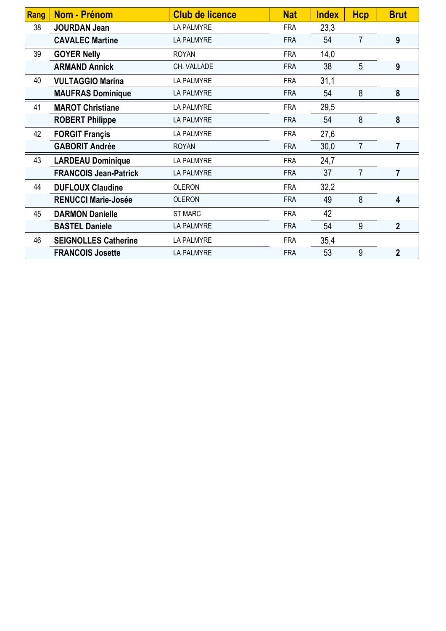| Rang | <b>Nom - Prénom</b>          | <b>Club de licence</b> | <b>Nat</b> | <b>Index</b> | <b>Hcp</b>     | <b>Brut</b>    |
|------|------------------------------|------------------------|------------|--------------|----------------|----------------|
| 38   | <b>JOURDAN Jean</b>          | LA PALMYRE             | <b>FRA</b> | 23,3         |                |                |
|      | <b>CAVALEC Martine</b>       | <b>LA PALMYRE</b>      | <b>FRA</b> | 54           | $\overline{7}$ | 9              |
| 39   | <b>GOYER Nelly</b>           | <b>ROYAN</b>           | <b>FRA</b> | 14,0         |                |                |
|      | <b>ARMAND Annick</b>         | CH. VALLADE            | <b>FRA</b> | 38           | 5              | 9              |
| 40   | <b>VULTAGGIO Marina</b>      | LA PALMYRE             | <b>FRA</b> | 31,1         |                |                |
|      | <b>MAUFRAS Dominique</b>     | LA PALMYRE             | <b>FRA</b> | 54           | 8              | 8              |
| 41   | <b>MAROT Christiane</b>      | LA PALMYRE             | <b>FRA</b> | 29,5         |                |                |
|      | <b>ROBERT Philippe</b>       | <b>LA PALMYRE</b>      | <b>FRA</b> | 54           | 8              | 8              |
| 42   | <b>FORGIT Francis</b>        | LA PALMYRE             | <b>FRA</b> | 27,6         |                |                |
|      | <b>GABORIT Andrée</b>        | <b>ROYAN</b>           | <b>FRA</b> | 30,0         | $\overline{7}$ | $\overline{7}$ |
| 43   | <b>LARDEAU Dominique</b>     | LA PALMYRE             | <b>FRA</b> | 24,7         |                |                |
|      | <b>FRANCOIS Jean-Patrick</b> | <b>LA PALMYRE</b>      | <b>FRA</b> | 37           | $\overline{7}$ | $\overline{7}$ |
| 44   | <b>DUFLOUX Claudine</b>      | <b>OLERON</b>          | <b>FRA</b> | 32,2         |                |                |
|      | <b>RENUCCI Marie-Josée</b>   | <b>OLERON</b>          | <b>FRA</b> | 49           | 8              | 4              |
| 45   | <b>DARMON Danielle</b>       | <b>ST MARC</b>         | <b>FRA</b> | 42           |                |                |
|      | <b>BASTEL Daniele</b>        | LA PALMYRE             | <b>FRA</b> | 54           | 9              | $\overline{2}$ |
| 46   | <b>SEIGNOLLES Catherine</b>  | LA PALMYRE             | <b>FRA</b> | 35,4         |                |                |
|      | <b>FRANCOIS Josette</b>      | <b>LA PALMYRE</b>      | <b>FRA</b> | 53           | 9              | $\overline{2}$ |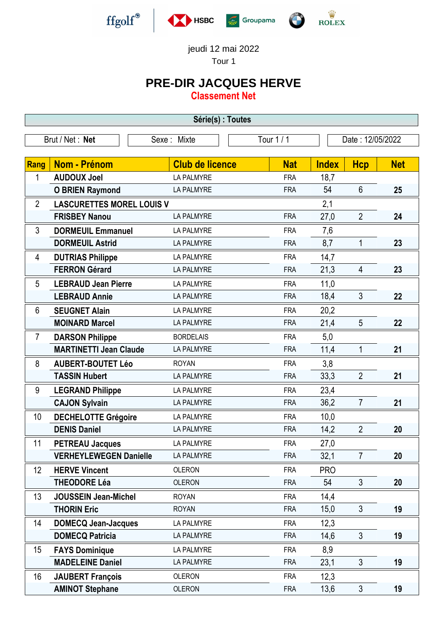



jeudi 12 mai 2022

Tour 1

## **PRE-DIR JACQUES HERVE**

**Classement Net**

| Série(s) : Toutes                                              |                                  |                        |            |              |                |            |  |
|----------------------------------------------------------------|----------------------------------|------------------------|------------|--------------|----------------|------------|--|
| Tour 1/1<br>Brut / Net: Net<br>Date: 12/05/2022<br>Sexe: Mixte |                                  |                        |            |              |                |            |  |
|                                                                |                                  |                        |            |              |                |            |  |
| Rang                                                           | <b>Nom - Prénom</b>              | <b>Club de licence</b> | <b>Nat</b> | <b>Index</b> | <b>Hcp</b>     | <b>Net</b> |  |
| 1                                                              | <b>AUDOUX Joel</b>               | <b>LA PALMYRE</b>      | <b>FRA</b> | 18,7         |                |            |  |
|                                                                | <b>O BRIEN Raymond</b>           | <b>LA PALMYRE</b>      | <b>FRA</b> | 54           | $6\phantom{1}$ | 25         |  |
| $\overline{2}$                                                 | <b>LASCURETTES MOREL LOUIS V</b> |                        |            | 2,1          |                |            |  |
|                                                                | <b>FRISBEY Nanou</b>             | <b>LA PALMYRE</b>      | <b>FRA</b> | 27,0         | $\overline{2}$ | 24         |  |
| 3                                                              | <b>DORMEUIL Emmanuel</b>         | <b>LA PALMYRE</b>      | <b>FRA</b> | 7,6          |                |            |  |
|                                                                | <b>DORMEUIL Astrid</b>           | <b>LA PALMYRE</b>      | <b>FRA</b> | 8,7          | $\mathbf 1$    | 23         |  |
| 4                                                              | <b>DUTRIAS Philippe</b>          | LA PALMYRE             | <b>FRA</b> | 14,7         |                |            |  |
|                                                                | <b>FERRON Gérard</b>             | <b>LA PALMYRE</b>      | <b>FRA</b> | 21,3         | 4              | 23         |  |
| 5                                                              | <b>LEBRAUD Jean Pierre</b>       | LA PALMYRE             | <b>FRA</b> | 11,0         |                |            |  |
|                                                                | <b>LEBRAUD Annie</b>             | <b>LA PALMYRE</b>      | <b>FRA</b> | 18,4         | 3              | 22         |  |
| 6                                                              | <b>SEUGNET Alain</b>             | <b>LA PALMYRE</b>      | <b>FRA</b> | 20,2         |                |            |  |
|                                                                | <b>MOINARD Marcel</b>            | <b>LA PALMYRE</b>      | <b>FRA</b> | 21,4         | 5              | 22         |  |
| $\overline{7}$                                                 | <b>DARSON Philippe</b>           | <b>BORDELAIS</b>       | <b>FRA</b> | 5,0          |                |            |  |
|                                                                | <b>MARTINETTI Jean Claude</b>    | LA PALMYRE             | <b>FRA</b> | 11,4         | 1              | 21         |  |
| 8                                                              | <b>AUBERT-BOUTET Léo</b>         | <b>ROYAN</b>           | <b>FRA</b> | 3,8          |                |            |  |
|                                                                | <b>TASSIN Hubert</b>             | <b>LA PALMYRE</b>      | <b>FRA</b> | 33,3         | $\overline{2}$ | 21         |  |
| 9                                                              | <b>LEGRAND Philippe</b>          | LA PALMYRE             | <b>FRA</b> | 23,4         |                |            |  |
|                                                                | <b>CAJON Sylvain</b>             | <b>LA PALMYRE</b>      | <b>FRA</b> | 36,2         | $\overline{7}$ | 21         |  |
| 10                                                             | <b>DECHELOTTE Grégoire</b>       | LA PALMYRE             | <b>FRA</b> | 10,0         |                |            |  |
|                                                                | <b>DENIS Daniel</b>              | <b>LA PALMYRE</b>      | <b>FRA</b> | 14,2         | $\overline{2}$ | 20         |  |
| 11                                                             | <b>PETREAU Jacques</b>           | <b>LA PALMYRE</b>      | <b>FRA</b> | 27,0         |                |            |  |
|                                                                | <b>VERHEYLEWEGEN Danielle</b>    | <b>LA PALMYRE</b>      | <b>FRA</b> | 32,1         | $\overline{7}$ | 20         |  |
| 12                                                             | <b>HERVE Vincent</b>             | <b>OLERON</b>          | <b>FRA</b> | <b>PRO</b>   |                |            |  |
|                                                                | <b>THEODORE Léa</b>              | <b>OLERON</b>          | <b>FRA</b> | 54           | $\mathfrak{Z}$ | 20         |  |
| 13                                                             | <b>JOUSSEIN Jean-Michel</b>      | <b>ROYAN</b>           | <b>FRA</b> | 14,4         |                |            |  |
|                                                                | <b>THORIN Eric</b>               | <b>ROYAN</b>           | <b>FRA</b> | 15,0         | 3              | 19         |  |
| 14                                                             | <b>DOMECQ Jean-Jacques</b>       | LA PALMYRE             | <b>FRA</b> | 12,3         |                |            |  |
|                                                                | <b>DOMECQ Patricia</b>           | LA PALMYRE             | <b>FRA</b> | 14,6         | $\mathfrak{Z}$ | 19         |  |
| 15                                                             | <b>FAYS Dominique</b>            | LA PALMYRE             | <b>FRA</b> | 8,9          |                |            |  |
|                                                                | <b>MADELEINE Daniel</b>          | LA PALMYRE             | <b>FRA</b> | 23,1         | 3              | 19         |  |
| 16                                                             | <b>JAUBERT François</b>          | <b>OLERON</b>          | <b>FRA</b> | 12,3         |                |            |  |
|                                                                | <b>AMINOT Stephane</b>           | <b>OLERON</b>          | <b>FRA</b> | 13,6         | 3              | 19         |  |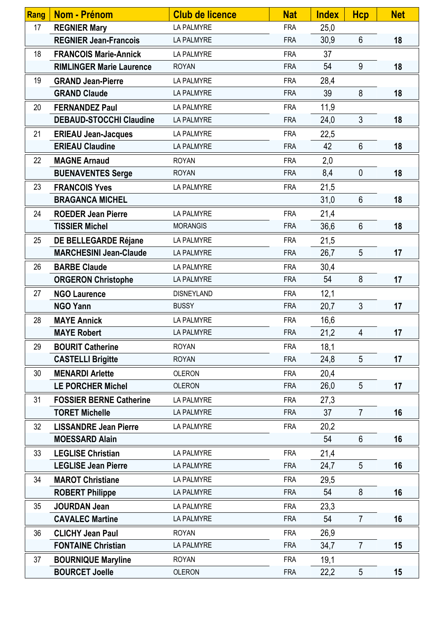| <b>Rang</b> | Nom - Prénom                    | <b>Club de licence</b> | <b>Nat</b> | <b>Index</b> | <b>Hcp</b>      | <b>Net</b> |
|-------------|---------------------------------|------------------------|------------|--------------|-----------------|------------|
| 17          | <b>REGNIER Mary</b>             | <b>LA PALMYRE</b>      | <b>FRA</b> | 25,0         |                 |            |
|             | <b>REGNIER Jean-Francois</b>    | LA PALMYRE             | <b>FRA</b> | 30,9         | $6\phantom{a}$  | 18         |
| 18          | <b>FRANCOIS Marie-Annick</b>    | LA PALMYRE             | <b>FRA</b> | 37           |                 |            |
|             | <b>RIMLINGER Marie Laurence</b> | <b>ROYAN</b>           | <b>FRA</b> | 54           | 9               | 18         |
| 19          | <b>GRAND Jean-Pierre</b>        | LA PALMYRE             | <b>FRA</b> | 28,4         |                 |            |
|             | <b>GRAND Claude</b>             | <b>LA PALMYRE</b>      | <b>FRA</b> | 39           | 8               | 18         |
| 20          | <b>FERNANDEZ Paul</b>           | <b>LA PALMYRE</b>      | <b>FRA</b> | 11,9         |                 |            |
|             | <b>DEBAUD-STOCCHI Claudine</b>  | <b>LA PALMYRE</b>      | <b>FRA</b> | 24,0         | $\mathfrak{Z}$  | 18         |
| 21          | <b>ERIEAU Jean-Jacques</b>      | LA PALMYRE             | <b>FRA</b> | 22,5         |                 |            |
|             | <b>ERIEAU Claudine</b>          | <b>LA PALMYRE</b>      | <b>FRA</b> | 42           | $6\phantom{1}$  | 18         |
| 22          | <b>MAGNE Arnaud</b>             | <b>ROYAN</b>           | <b>FRA</b> | 2,0          |                 |            |
|             | <b>BUENAVENTES Serge</b>        | <b>ROYAN</b>           | <b>FRA</b> | 8,4          | $\pmb{0}$       | 18         |
| 23          | <b>FRANCOIS Yves</b>            | LA PALMYRE             | <b>FRA</b> | 21,5         |                 |            |
|             | <b>BRAGANCA MICHEL</b>          |                        |            | 31,0         | $6\phantom{.}6$ | 18         |
| 24          | <b>ROEDER Jean Pierre</b>       | LA PALMYRE             | <b>FRA</b> | 21,4         |                 |            |
|             | <b>TISSIER Michel</b>           | <b>MORANGIS</b>        | <b>FRA</b> | 36,6         | $6\phantom{1}$  | 18         |
| 25          | DE BELLEGARDE Réjane            | LA PALMYRE             | <b>FRA</b> | 21,5         |                 |            |
|             | <b>MARCHESINI Jean-Claude</b>   | <b>LA PALMYRE</b>      | <b>FRA</b> | 26,7         | 5               | 17         |
| 26          | <b>BARBE Claude</b>             | LA PALMYRE             | <b>FRA</b> | 30,4         |                 |            |
|             | <b>ORGERON Christophe</b>       | LA PALMYRE             | <b>FRA</b> | 54           | 8               | 17         |
| 27          | <b>NGO Laurence</b>             | <b>DISNEYLAND</b>      | <b>FRA</b> | 12,1         |                 |            |
|             | <b>NGO Yann</b>                 | <b>BUSSY</b>           | <b>FRA</b> | 20,7         | $\mathfrak{Z}$  | 17         |
| 28          | <b>MAYE Annick</b>              | LA PALMYRE             | <b>FRA</b> | 16,6         |                 |            |
|             | <b>MAYE Robert</b>              | <b>LA PALMYRE</b>      | <b>FRA</b> | 21,2         | 4               | 17         |
| 29          | <b>BOURIT Catherine</b>         | <b>ROYAN</b>           | <b>FRA</b> | 18,1         |                 |            |
|             | <b>CASTELLI Brigitte</b>        | <b>ROYAN</b>           | <b>FRA</b> | 24,8         | 5               | 17         |
| 30          | <b>MENARDI Arlette</b>          | <b>OLERON</b>          | <b>FRA</b> | 20,4         |                 |            |
|             | <b>LE PORCHER Michel</b>        | <b>OLERON</b>          | <b>FRA</b> | 26,0         | 5               | 17         |
| 31          | <b>FOSSIER BERNE Catherine</b>  | LA PALMYRE             | <b>FRA</b> | 27,3         |                 |            |
|             | <b>TORET Michelle</b>           | <b>LA PALMYRE</b>      | <b>FRA</b> | 37           | $\overline{7}$  | 16         |
| 32          | <b>LISSANDRE Jean Pierre</b>    | <b>LA PALMYRE</b>      | <b>FRA</b> | 20,2         |                 |            |
|             | <b>MOESSARD Alain</b>           |                        |            | 54           | $6\phantom{1}$  | 16         |
| 33          | <b>LEGLISE Christian</b>        | LA PALMYRE             | <b>FRA</b> | 21,4         |                 |            |
|             | <b>LEGLISE Jean Pierre</b>      | LA PALMYRE             | <b>FRA</b> | 24,7         | 5               | 16         |
| 34          | <b>MAROT Christiane</b>         | LA PALMYRE             | <b>FRA</b> | 29,5         |                 |            |
|             | <b>ROBERT Philippe</b>          | LA PALMYRE             | <b>FRA</b> | 54           | 8               | 16         |
| 35          | <b>JOURDAN Jean</b>             | LA PALMYRE             | <b>FRA</b> | 23,3         |                 |            |
|             | <b>CAVALEC Martine</b>          | LA PALMYRE             | <b>FRA</b> | 54           | $\overline{7}$  | 16         |
| 36          | <b>CLICHY Jean Paul</b>         | <b>ROYAN</b>           | <b>FRA</b> | 26,9         |                 |            |
|             | <b>FONTAINE Christian</b>       | LA PALMYRE             | <b>FRA</b> | 34,7         | $\overline{7}$  | 15         |
| 37          | <b>BOURNIQUE Maryline</b>       | <b>ROYAN</b>           | <b>FRA</b> | 19,1         |                 |            |
|             | <b>BOURCET Joelle</b>           | <b>OLERON</b>          | <b>FRA</b> | 22,2         | $\overline{5}$  | 15         |